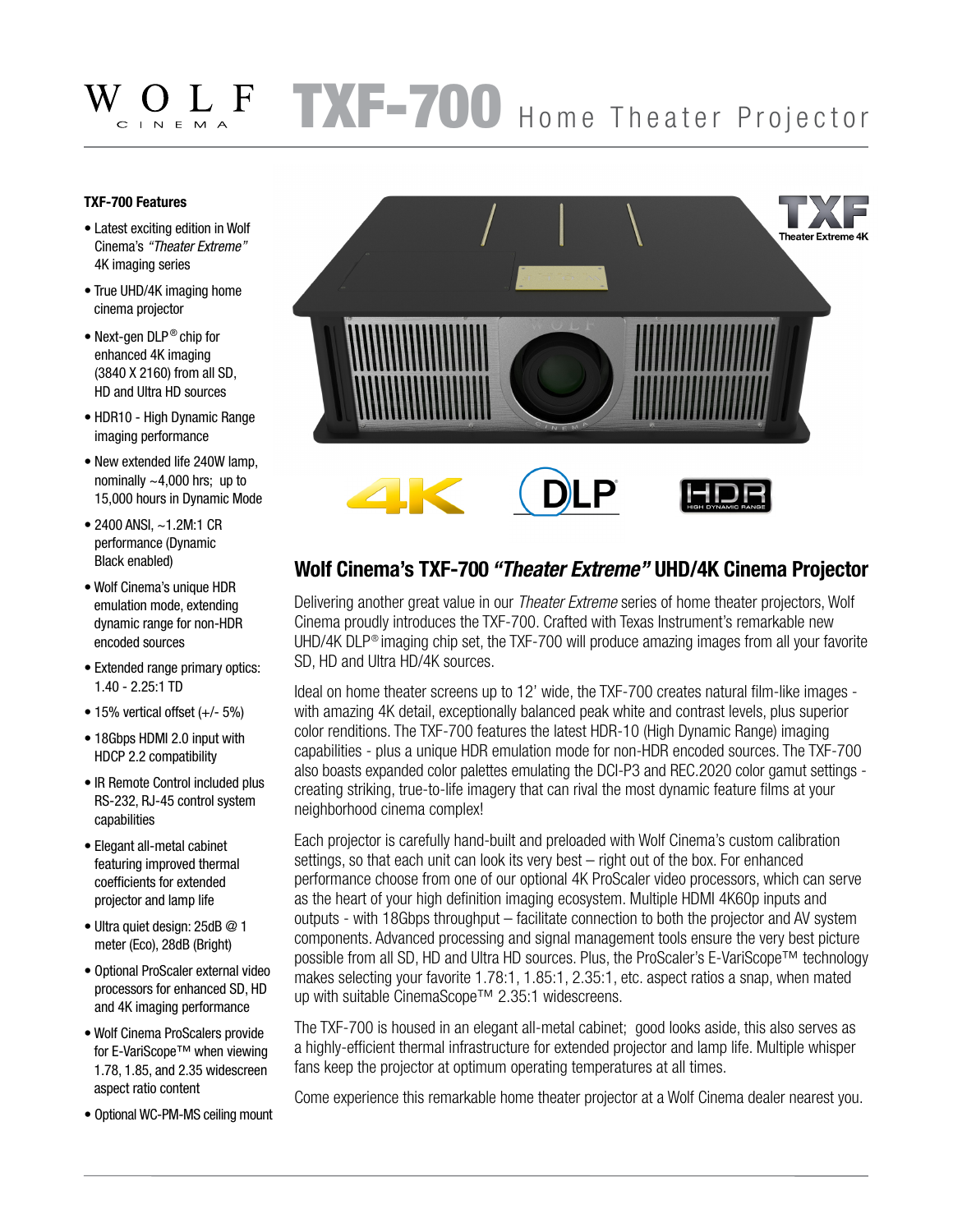## TXF-700 Home Theater Projector CINEMA

## **TXF-700 Features**

- Latest exciting edition in Wolf Cinema's *"Theater Extreme"* 4K imaging series
- True UHD/4K imaging home cinema projector
- Next-gen DLP<sup>®</sup> chip for enhanced 4K imaging (3840 X 2160) from all SD, HD and Ultra HD sources
- HDR10 High Dynamic Range imaging performance
- New extended life 240W lamp, nominally  $\sim$  4,000 hrs; up to 15,000 hours in Dynamic Mode
- 2400 ANSI, ~1.2M:1 CR performance (Dynamic Black enabled)
- Wolf Cinema's unique HDR emulation mode, extending dynamic range for non-HDR encoded sources
- Extended range primary optics: 1.40 - 2.25:1 TD
- 15% vertical offset (+/- 5%) • 18Gbps HDMI 2.0 input with HDCP 2.2 compatibility
- IR Remote Control included plus RS-232, RJ-45 control system capabilities
- Elegant all-metal cabinet featuring improved thermal coefficients for extended projector and lamp life
- Ultra quiet design: 25dB @ 1 meter (Eco), 28dB (Bright)
- Optional ProScaler external video processors for enhanced SD, HD and 4K imaging performance
- Wolf Cinema ProScalers provide for E-VariScope™ when viewing 1.78, 1.85, and 2.35 widescreen aspect ratio content
- Optional WC-PM-MS ceiling mount



## **Wolf Cinema's TXF-700** *"Theater Extreme"* **UHD/4K Cinema Projector**

Delivering another great value in our *Theater Extreme* series of home theater projectors, Wolf Cinema proudly introduces the TXF-700. Crafted with Texas Instrument's remarkable new UHD/4K DLP<sup>®</sup> imaging chip set, the TXF-700 will produce amazing images from all your favorite SD, HD and Ultra HD/4K sources.

Ideal on home theater screens up to 12' wide, the TXF-700 creates natural film-like images with amazing 4K detail, exceptionally balanced peak white and contrast levels, plus superior color renditions. The TXF-700 features the latest HDR-10 (High Dynamic Range) imaging capabilities - plus a unique HDR emulation mode for non-HDR encoded sources. The TXF-700 also boasts expanded color palettes emulating the DCI-P3 and REC.2020 color gamut settings creating striking, true-to-life imagery that can rival the most dynamic feature films at your neighborhood cinema complex!

Each projector is carefully hand-built and preloaded with Wolf Cinema's custom calibration settings, so that each unit can look its very best – right out of the box. For enhanced performance choose from one of our optional 4K ProScaler video processors, which can serve as the heart of your high definition imaging ecosystem. Multiple HDMI 4K60p inputs and outputs - with 18Gbps throughput – facilitate connection to both the projector and AV system components. Advanced processing and signal management tools ensure the very best picture possible from all SD, HD and Ultra HD sources. Plus, the ProScaler's E-VariScope™ technology makes selecting your favorite 1.78:1, 1.85:1, 2.35:1, etc. aspect ratios a snap, when mated up with suitable CinemaScope™ 2.35:1 widescreens.

The TXF-700 is housed in an elegant all-metal cabinet; good looks aside, this also serves as a highly-efficient thermal infrastructure for extended projector and lamp life. Multiple whisper fans keep the projector at optimum operating temperatures at all times.

Come experience this remarkable home theater projector at a Wolf Cinema dealer nearest you.